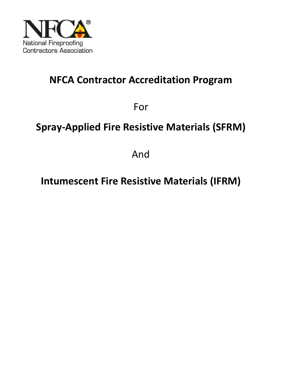

# **NFCA Contractor Accreditation Program**

For

# **Spray-Applied Fire Resistive Materials (SFRM)**

And

# **Intumescent Fire Resistive Materials (IFRM)**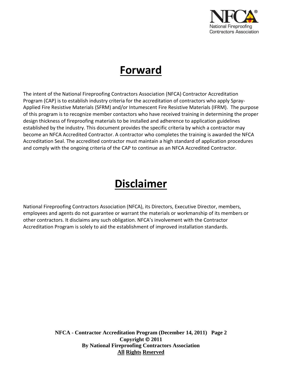

# **Forward**

The intent of the National Fireproofing Contractors Association (NFCA) Contractor Accreditation Program (CAP) is to establish industry criteria for the accreditation of contractors who apply Spray-Applied Fire Resistive Materials (SFRM) and/or Intumescent Fire Resistive Materials (IFRM). The purpose of this program is to recognize member contactors who have received training in determining the proper design thickness of fireproofing materials to be installed and adherence to application guidelines established by the industry. This document provides the specific criteria by which a contractor may become an NFCA Accredited Contractor. A contractor who completes the training is awarded the NFCA Accreditation Seal. The accredited contractor must maintain a high standard of application procedures and comply with the ongoing criteria of the CAP to continue as an NFCA Accredited Contractor.

# **Disclaimer**

National Fireproofing Contractors Association (NFCA), its Directors, Executive Director, members, employees and agents do not guarantee or warrant the materials or workmanship of its members or other contractors. It disclaims any such obligation. NFCA's involvement with the Contractor Accreditation Program is solely to aid the establishment of improved installation standards.

> **NFCA - Contractor Accreditation Program (December 14, 2011) Page 2 Copyright 2011 By National Fireproofing Contractors Association All Rights Reserved**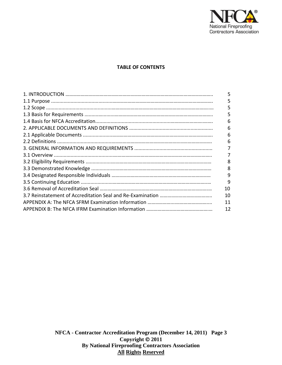

### **TABLE OF CONTENTS**

| 5  |
|----|
| 5  |
| 5  |
| 5  |
| 6  |
| 6  |
| 6  |
| 6  |
| 7  |
|    |
| 8  |
| 8  |
| 9  |
| 9  |
| 10 |
| 10 |
| 11 |
| 12 |

**NFCA - Contractor Accreditation Program (December 14, 2011) Page 3 Copyright 2011 By National Fireproofing Contractors Association All Rights Reserved**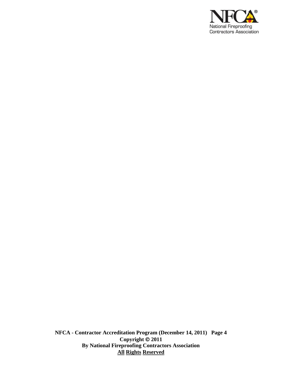

**NFCA - Contractor Accreditation Program (December 14, 2011) Page 4 Copyright 2011 By National Fireproofing Contractors Association All Rights Reserved**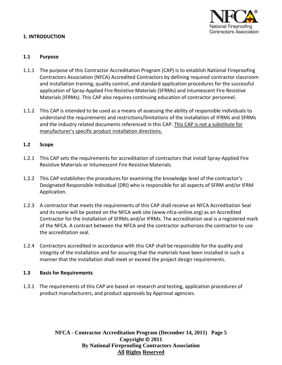

## **1. INTRODUCTION**

## **1.1 Purpose**

- 1.1.1 The purpose of this Contractor Accreditation Program (CAP) is to establish National Fireproofing Contractors Association (NFCA) Accredited Contractors by defining required contractor classroom and installation training, quality control, and standard application procedures for the successful application of Spray-Applied Fire Resistive Materials (SFRMs) and Intumescent Fire Resistive Materials (IFRMs). This CAP also requires continuing education of contractor personnel.
- 1.1.2 This CAP is intended to be used as a means of assessing the ability of responsible individuals to understand the requirements and restrictions/limitations of the installation of IFRMs and SFRMs and the industry related documents referenced in this CAP. This CAP is not a substitute for manufacturer's specific product installation directions.

## **1.2 Scope**

- 1.2.1 This CAP sets the requirements for accreditation of contractors that install Spray-Applied Fire Resistive Materials or Intumescent Fire Resistive Materials.
- 1.2.2 This CAP establishes the procedures for examining the knowledge level of the contractor's Designated Responsible Individual (DRI) who is responsible for all aspects of SFRM and/or IFRM Application.
- 1.2.3 A contractor that meets the requirements of this CAP shall receive an NFCA Accreditation Seal and its name will be posted on the NFCA web site (www.nfca-online.org) as an Accredited Contractor for the installation of SFRMs and/or IFRMs. The accreditation seal is a registered mark of the NFCA. A contract between the NFCA and the contractor authorizes the contractor to use the accreditation seal.
- 1.2.4 Contractors accredited in accordance with this CAP shall be responsible for the quality and integrity of the installation and for assuring that the materials have been installed in such a manner that the installation shall meet or exceed the project design requirements.

# **1.3 Basis for Requirements**

1.3.1 The requirements of this CAP are based on research and testing, application procedures of product manufacturers, and product approvals by Approval agencies.

> **NFCA - Contractor Accreditation Program (December 14, 2011) Page 5 Copyright 2011 By National Fireproofing Contractors Association All Rights Reserved**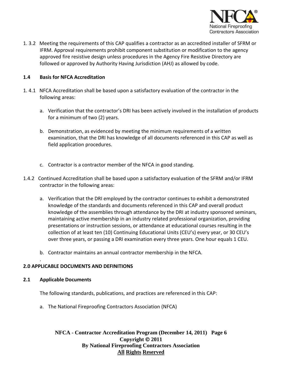

1. 3.2 Meeting the requirements of this CAP qualifies a contractor as an accredited installer of SFRM or IFRM. Approval requirements prohibit component substitution or modification to the agency approved fire resistive design unless procedures in the Agency Fire Resistive Directory are followed or approved by Authority Having Jurisdiction (AHJ) as allowed by code.

## **1.4 Basis for NFCA Accreditation**

- 1. 4.1 NFCA Accreditation shall be based upon a satisfactory evaluation of the contractor in the following areas:
	- a. Verification that the contractor's DRI has been actively involved in the installation of products for a minimum of two (2) years.
	- b. Demonstration, as evidenced by meeting the minimum requirements of a written examination, that the DRI has knowledge of all documents referenced in this CAP as well as field application procedures.
	- c. Contractor is a contractor member of the NFCA in good standing.
- 1.4.2 Continued Accreditation shall be based upon a satisfactory evaluation of the SFRM and/or IFRM contractor in the following areas:
	- a. Verification that the DRI employed by the contractor continues to exhibit a demonstrated knowledge of the standards and documents referenced in this CAP and overall product knowledge of the assemblies through attendance by the DRI at industry sponsored seminars, maintaining active membership in an industry related professional organization, providing presentations or instruction sessions, or attendance at educational courses resulting in the collection of at least ten (10) Continuing Educational Units (CEU's) every year, or 30 CEU's over three years, or passing a DRI examination every three years. One hour equals 1 CEU.
	- b. Contractor maintains an annual contractor membership in the NFCA.

# **2.0 APPLICABLE DOCUMENTS AND DEFINITIONS**

#### **2.1 Applicable Documents**

.

The following standards, publications, and practices are referenced in this CAP:

a. The National Fireproofing Contractors Association (NFCA)

**NFCA - Contractor Accreditation Program (December 14, 2011) Page 6 Copyright 2011 By National Fireproofing Contractors Association All Rights Reserved**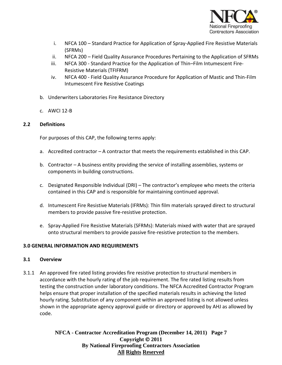

- i. NFCA 100 Standard Practice for Application of Spray-Applied Fire Resistive Materials (SFRMs)
- ii. NFCA 200 Field Quality Assurance Procedures Pertaining to the Application of SFRMs
- iii. NFCA 300 Standard Practice for the Application of Thin–Film Intumescent Fire-Resistive Materials (TFIFRM)
- iv. NFCA 400 Field Quality Assurance Procedure for Application of Mastic and Thin-Film Intumescent Fire Resistive Coatings
- b. Underwriters Laboratories Fire Resistance Directory
- c. AWCI 12-B

# **2.2 Definitions**

For purposes of this CAP, the following terms apply:

- a. Accredited contractor A contractor that meets the requirements established in this CAP.
- b. Contractor A business entity providing the service of installing assemblies, systems or components in building constructions.
- c. Designated Responsible Individual (DRI) The contractor's employee who meets the criteria contained in this CAP and is responsible for maintaining continued approval.
- d. Intumescent Fire Resistive Materials (IFRMs): Thin film materials sprayed direct to structural members to provide passive fire-resistive protection.
- e. Spray-Applied Fire Resistive Materials (SFRMs): Materials mixed with water that are sprayed onto structural members to provide passive fire-resistive protection to the members.

# **3.0 GENERAL INFORMATION AND REQUIREMENTS**

# **3.1 Overview**

3.1.1 An approved fire rated listing provides fire resistive protection to structural members in accordance with the hourly rating of the job requirement. The fire rated listing results from testing the construction under laboratory conditions. The NFCA Accredited Contractor Program helps ensure that proper installation of the specified materials results in achieving the listed hourly rating. Substitution of any component within an approved listing is not allowed unless shown in the appropriate agency approval guide or directory or approved by AHJ as allowed by code.

> **NFCA - Contractor Accreditation Program (December 14, 2011) Page 7 Copyright 2011 By National Fireproofing Contractors Association All Rights Reserved**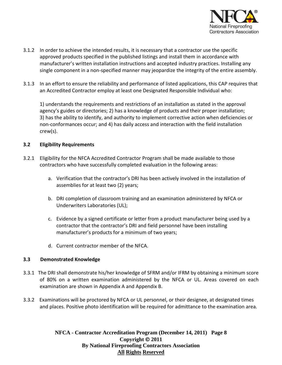

- 3.1.2 In order to achieve the intended results, it is necessary that a contractor use the specific approved products specified in the published listings and install them in accordance with manufacturer's written installation instructions and accepted industry practices. Installing any single component in a non-specified manner may jeopardize the integrity of the entire assembly.
- 3.1.3 In an effort to ensure the reliability and performance of listed applications, this CAP requires that an Accredited Contractor employ at least one Designated Responsible Individual who:

1) understands the requirements and restrictions of an installation as stated in the approval agency's guides or directories; 2) has a knowledge of products and their proper installation; 3) has the ability to identify, and authority to implement corrective action when deficiencies or non-conformances occur; and 4) has daily access and interaction with the field installation crew(s).

## **3.2 Eligibility Requirements**

- 3.2.1 Eligibility for the NFCA Accredited Contractor Program shall be made available to those contractors who have successfully completed evaluation in the following areas:
	- a. Verification that the contractor's DRI has been actively involved in the installation of assemblies for at least two (2) years;
	- b. DRI completion of classroom training and an examination administered by NFCA or Underwriters Laboratories (UL);
	- c. Evidence by a signed certificate or letter from a product manufacturer being used by a contractor that the contractor's DRI and field personnel have been installing manufacturer's products for a minimum of two years;
	- d. Current contractor member of the NFCA.

# **3.3 Demonstrated Knowledge**

- 3.3.1 The DRI shall demonstrate his/her knowledge of SFRM and/or IFRM by obtaining a minimum score of 80% on a written examination administered by the NFCA or UL. Areas covered on each examination are shown in Appendix A and Appendix B.
- 3.3.2 Examinations will be proctored by NFCA or UL personnel, or their designee, at designated times and places. Positive photo identification will be required for admittance to the examination area.

**NFCA - Contractor Accreditation Program (December 14, 2011) Page 8 Copyright 2011 By National Fireproofing Contractors Association All Rights Reserved**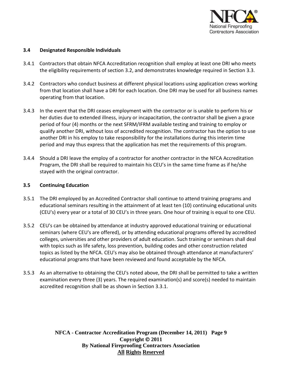

#### **3.4 Designated Responsible Individuals**

- 3.4.1 Contractors that obtain NFCA Accreditation recognition shall employ at least one DRI who meets the eligibility requirements of section 3.2, and demonstrates knowledge required in Section 3.3.
- 3.4.2 Contractors who conduct business at different physical locations using application crews working from that location shall have a DRI for each location. One DRI may be used for all business names operating from that location.
- 3.4.3 In the event that the DRI ceases employment with the contractor or is unable to perform his or her duties due to extended illness, injury or incapacitation, the contractor shall be given a grace period of four (4) months or the next SFRM/IFRM available testing and training to employ or qualify another DRI, without loss of accredited recognition. The contractor has the option to use another DRI in his employ to take responsibility for the installations during this interim time period and may thus express that the application has met the requirements of this program.
- 3.4.4 Should a DRI leave the employ of a contractor for another contractor in the NFCA Accreditation Program, the DRI shall be required to maintain his CEU's in the same time frame as if he/she stayed with the original contractor.

#### **3.5 Continuing Education**

- 3.5.1 The DRI employed by an Accredited Contractor shall continue to attend training programs and educational seminars resulting in the attainment of at least ten (10) continuing educational units (CEU's) every year or a total of 30 CEU's in three years. One hour of training is equal to one CEU.
- 3.5.2 CEU's can be obtained by attendance at industry approved educational training or educational seminars (where CEU's are offered), or by attending educational programs offered by accredited colleges, universities and other providers of adult education. Such training or seminars shall deal with topics such as life safety, loss prevention, building codes and other construction related topics as listed by the NFCA. CEU's may also be obtained through attendance at manufacturers' educational programs that have been reviewed and found acceptable by the NFCA.
- 3.5.3 As an alternative to obtaining the CEU's noted above, the DRI shall be permitted to take a written examination every three (3) years. The required examination(s) and score(s) needed to maintain accredited recognition shall be as shown in Section 3.3.1.

**NFCA - Contractor Accreditation Program (December 14, 2011) Page 9 Copyright 2011 By National Fireproofing Contractors Association All Rights Reserved**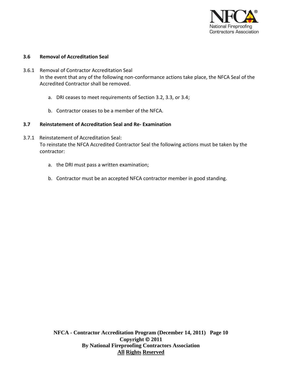

#### **3.6 Removal of Accreditation Seal**

- 3.6.1 Removal of Contractor Accreditation Seal In the event that any of the following non-conformance actions take place, the NFCA Seal of the Accredited Contractor shall be removed.
	- a. DRI ceases to meet requirements of Section 3.2, 3.3, or 3.4;
	- b. Contractor ceases to be a member of the NFCA.

#### **3.7 Reinstatement of Accreditation Seal and Re- Examination**

3.7.1 Reinstatement of Accreditation Seal:

To reinstate the NFCA Accredited Contractor Seal the following actions must be taken by the contractor:

- a. the DRI must pass a written examination;
- b. Contractor must be an accepted NFCA contractor member in good standing.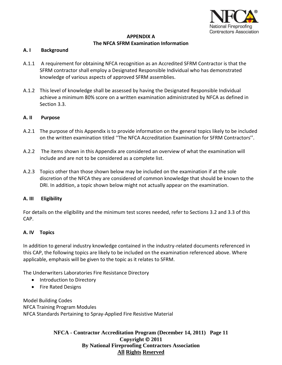

#### **APPENDIX A**

#### **The NFCA SFRM Examination Information**

#### **A. I Background**

- A.1.1 A requirement for obtaining NFCA recognition as an Accredited SFRM Contractor is that the SFRM contractor shall employ a Designated Responsible Individual who has demonstrated knowledge of various aspects of approved SFRM assemblies.
- A.1.2 This level of knowledge shall be assessed by having the Designated Responsible Individual achieve a minimum 80% score on a written examination administrated by NFCA as defined in Section 3.3.

#### **A. II Purpose**

- A.2.1 The purpose of this Appendix is to provide information on the general topics likely to be included on the written examination titled ''The NFCA Accreditation Examination for SFRM Contractors''.
- A.2.2 The items shown in this Appendix are considered an overview of what the examination will include and are not to be considered as a complete list.
- A.2.3 Topics other than those shown below may be included on the examination if at the sole discretion of the NFCA they are considered of common knowledge that should be known to the DRI. In addition, a topic shown below might not actually appear on the examination.

#### **A. III Eligibility**

For details on the eligibility and the minimum test scores needed, refer to Sections 3.2 and 3.3 of this CAP.

#### **A. IV Topics**

In addition to general industry knowledge contained in the industry-related documents referenced in this CAP, the following topics are likely to be included on the examination referenced above. Where applicable, emphasis will be given to the topic as it relates to SFRM.

The Underwriters Laboratories Fire Resistance Directory

- Introduction to Directory
- Fire Rated Designs

Model Building Codes NFCA Training Program Modules NFCA Standards Pertaining to Spray-Applied Fire Resistive Material

> **NFCA - Contractor Accreditation Program (December 14, 2011) Page 11 Copyright 2011 By National Fireproofing Contractors Association All Rights Reserved**